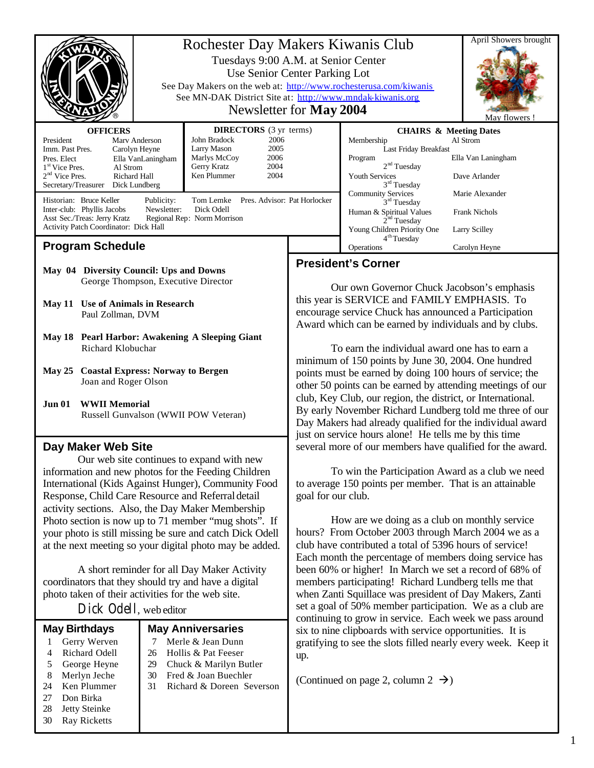|                                                                                                                                                                                                                                                                                                                                                                                                                                                                                                                                                                                                                                                         | Rochester Day Makers Kiwanis Club<br>Tuesdays 9:00 A.M. at Senior Center<br>Use Senior Center Parking Lot<br>See Day Makers on the web at: http://www.rochesterusa.com/kiwanis<br>See MN-DAK District Site at: http://www.mndak-kiwanis.org<br>Newsletter for May 2004                                                                                                                      | April Showers brought<br>May flowers                                                                                                                                                                                                                                                                                                                                                                                                                                                                                                                                                                                                                                                                                          |                                                                                                                                                                                                                                                    |                                                                                                             |
|---------------------------------------------------------------------------------------------------------------------------------------------------------------------------------------------------------------------------------------------------------------------------------------------------------------------------------------------------------------------------------------------------------------------------------------------------------------------------------------------------------------------------------------------------------------------------------------------------------------------------------------------------------|---------------------------------------------------------------------------------------------------------------------------------------------------------------------------------------------------------------------------------------------------------------------------------------------------------------------------------------------------------------------------------------------|-------------------------------------------------------------------------------------------------------------------------------------------------------------------------------------------------------------------------------------------------------------------------------------------------------------------------------------------------------------------------------------------------------------------------------------------------------------------------------------------------------------------------------------------------------------------------------------------------------------------------------------------------------------------------------------------------------------------------------|----------------------------------------------------------------------------------------------------------------------------------------------------------------------------------------------------------------------------------------------------|-------------------------------------------------------------------------------------------------------------|
| <b>DIRECTORS</b> (3 yr terms)<br><b>OFFICERS</b><br>2006<br>John Bradock<br>President<br>Mary Anderson<br>Larry Mason<br>2005<br>Imm. Past Pres.<br>Carolyn Heyne<br>Marlys McCoy<br>2006<br>Pres. Elect<br>Ella VanLaningham<br>Gerry Kratz<br>2004<br>1 <sup>st</sup> Vice Pres.<br>Al Strom<br>$2nd$ Vice Pres.<br>Ken Plummer<br>2004<br>Richard Hall<br>Secretary/Treasurer Dick Lundberg<br>Pres. Advisor: Pat Horlocker<br>Historian: Bruce Keller<br>Tom Lemke<br>Publicity:<br>Inter-club: Phyllis Jacobs<br>Newsletter:<br>Dick Odell<br>Asst Sec./Treas: Jerry Kratz<br>Regional Rep: Norm Morrison<br>Activity Patch Coordinator: Dick Hall |                                                                                                                                                                                                                                                                                                                                                                                             | Membership<br>Program<br><b>Youth Services</b><br><b>Community Services</b>                                                                                                                                                                                                                                                                                                                                                                                                                                                                                                                                                                                                                                                   | <b>CHAIRS &amp; Meeting Dates</b><br>Last Friday Breakfast<br>2 <sup>nd</sup> Tuesday<br>$3rd$ Tuesday<br>3 <sup>rd</sup> Tuesday<br>Human & Spiritual Values<br>2 <sup>nd</sup> Tuesday<br>Young Children Priority One<br>4 <sup>th</sup> Tuesday | Al Strom<br>Ella Van Laningham<br>Dave Arlander<br>Marie Alexander<br><b>Frank Nichols</b><br>Larry Scilley |
| <b>Program Schedule</b>                                                                                                                                                                                                                                                                                                                                                                                                                                                                                                                                                                                                                                 |                                                                                                                                                                                                                                                                                                                                                                                             | Operations                                                                                                                                                                                                                                                                                                                                                                                                                                                                                                                                                                                                                                                                                                                    |                                                                                                                                                                                                                                                    | Carolyn Heyne                                                                                               |
| May 04 Diversity Council: Ups and Downs<br>George Thompson, Executive Director<br>May 11 Use of Animals in Research<br>Paul Zollman, DVM<br>May 18 Pearl Harbor: Awakening A Sleeping Giant<br>Richard Klobuchar<br><b>Coastal Express: Norway to Bergen</b><br><b>May 25</b><br>Joan and Roger Olson<br><b>WWII Memorial</b><br><b>Jun 01</b><br>Russell Gunvalson (WWII POW Veteran)                                                                                                                                                                                                                                                                  |                                                                                                                                                                                                                                                                                                                                                                                             | <b>President's Corner</b><br>Our own Governor Chuck Jacobson's emphasis<br>this year is SERVICE and FAMILY EMPHASIS. To<br>encourage service Chuck has announced a Participation<br>Award which can be earned by individuals and by clubs.<br>To earn the individual award one has to earn a<br>minimum of 150 points by June 30, 2004. One hundred<br>points must be earned by doing 100 hours of service; the<br>other 50 points can be earned by attending meetings of our<br>club, Key Club, our region, the district, or International.<br>By early November Richard Lundberg told me three of our<br>Day Makers had already qualified for the individual award<br>just on service hours alone! He tells me by this time |                                                                                                                                                                                                                                                    |                                                                                                             |
| Day Maker Web Site<br>Response, Child Care Resource and Referral detail                                                                                                                                                                                                                                                                                                                                                                                                                                                                                                                                                                                 | Our web site continues to expand with new<br>information and new photos for the Feeding Children<br>International (Kids Against Hunger), Community Food<br>activity sections. Also, the Day Maker Membership<br>Photo section is now up to 71 member "mug shots". If<br>your photo is still missing be sure and catch Dick Odell<br>at the next meeting so your digital photo may be added. | several more of our members have qualified for the award.<br>to average 150 points per member. That is an attainable<br>goal for our club.<br>hours? From October 2003 through March 2004 we as a<br>club have contributed a total of 5396 hours of service!                                                                                                                                                                                                                                                                                                                                                                                                                                                                  | How are we doing as a club on monthly service                                                                                                                                                                                                      | To win the Participation Award as a club we need                                                            |

A short reminder for all Day Maker Activity coordinators that they should try and have a digital photo taken of their activities for the web site.

Dick Odell, web editor

|                      |                               |                          |                                          | continuing to grow in service. Each week we pass around       |  |  |
|----------------------|-------------------------------|--------------------------|------------------------------------------|---------------------------------------------------------------|--|--|
| <b>May Birthdays</b> |                               | <b>May Anniversaries</b> |                                          | six to nine clipboards with service opportunities. It is      |  |  |
|                      | Gerry Werven<br>Richard Odell | 26                       | Merle & Jean Dunn<br>Hollis & Pat Feeser | gratifying to see the slots filled nearly every week. Keep it |  |  |
|                      | George Heyne                  | 29                       | Chuck & Marilyn Butler                   | up.                                                           |  |  |
|                      | Merlyn Jeche                  | 30                       | Fred & Joan Buechler                     | (Continued on page 2, column 2 $\rightarrow$ )                |  |  |
| 24                   | Ken Plummer                   | 31                       | Richard & Doreen Severson                |                                                               |  |  |
| 27                   | Don Birka                     |                          |                                          |                                                               |  |  |
| 28                   | Jetty Steinke                 |                          |                                          |                                                               |  |  |
| 30                   | Ray Ricketts                  |                          |                                          |                                                               |  |  |

Each month the percentage of members doing service has been 60% or higher! In March we set a record of 68% of members participating! Richard Lundberg tells me that when Zanti Squillace was president of Day Makers, Zanti set a goal of 50% member participation. We as a club are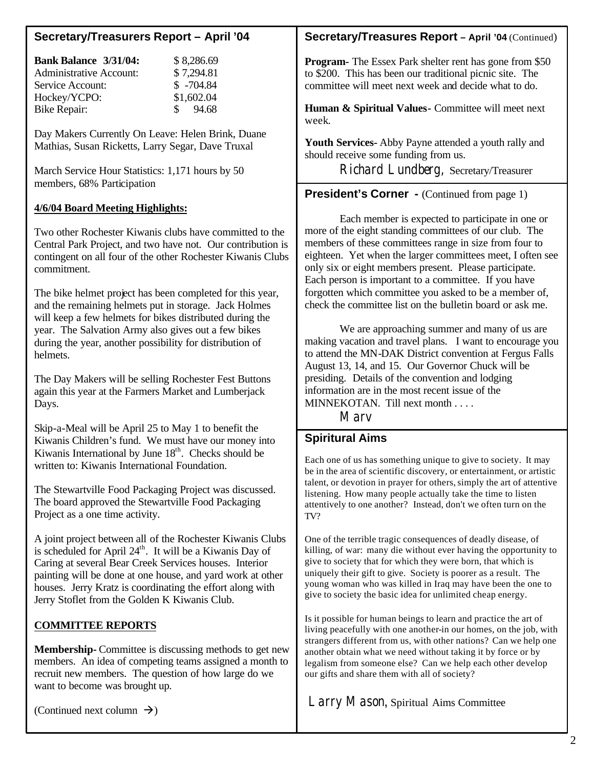# **Secretary/Treasurers Report – April '04**

| <b>Bank Balance 3/31/04:</b>   | \$8,286.69  |
|--------------------------------|-------------|
| <b>Administrative Account:</b> | \$7,294.81  |
| Service Account:               | $$ -704.84$ |
| Hockey/YCPO:                   | \$1,602.04  |
| <b>Bike Repair:</b>            | \$94.68     |
|                                |             |

Day Makers Currently On Leave: Helen Brink, Duane Mathias, Susan Ricketts, Larry Segar, Dave Truxal

March Service Hour Statistics: 1,171 hours by 50 members, 68% Participation

### **4/6/04 Board Meeting Highlights:**

Two other Rochester Kiwanis clubs have committed to the Central Park Project, and two have not. Our contribution is contingent on all four of the other Rochester Kiwanis Clubs commitment.

The bike helmet project has been completed for this year, and the remaining helmets put in storage. Jack Holmes will keep a few helmets for bikes distributed during the year. The Salvation Army also gives out a few bikes during the year, another possibility for distribution of helmets.

The Day Makers will be selling Rochester Fest Buttons again this year at the Farmers Market and Lumberjack Days.

Skip-a-Meal will be April 25 to May 1 to benefit the Kiwanis Children's fund. We must have our money into Kiwanis International by June  $18<sup>th</sup>$ . Checks should be written to: Kiwanis International Foundation.

The Stewartville Food Packaging Project was discussed. The board approved the Stewartville Food Packaging Project as a one time activity.

A joint project between all of the Rochester Kiwanis Clubs is scheduled for April  $24<sup>th</sup>$ . It will be a Kiwanis Day of Caring at several Bear Creek Services houses. Interior painting will be done at one house, and yard work at other houses. Jerry Kratz is coordinating the effort along with Jerry Stoflet from the Golden K Kiwanis Club.

### **COMMITTEE REPORTS**

**Membership-** Committee is discussing methods to get new members. An idea of competing teams assigned a month to recruit new members. The question of how large do we want to become was brought up.

(Continued next column  $\rightarrow$ )

### **Secretary/Treasures Report – April '04** (Continued)

**Program-** The Essex Park shelter rent has gone from \$50 to \$200. This has been our traditional picnic site. The committee will meet next week and decide what to do.

**Human & Spiritual Values-** Committee will meet next week.

**Youth Services-** Abby Payne attended a youth rally and should receive some funding from us.

Richard Lundberg, Secretary/Treasurer

# **President's Corner -** (Continued from page 1)

Each member is expected to participate in one or more of the eight standing committees of our club. The members of these committees range in size from four to eighteen. Yet when the larger committees meet, I often see only six or eight members present. Please participate. Each person is important to a committee. If you have forgotten which committee you asked to be a member of, check the committee list on the bulletin board or ask me.

We are approaching summer and many of us are making vacation and travel plans. I want to encourage you to attend the MN-DAK District convention at Fergus Falls August 13, 14, and 15. Our Governor Chuck will be presiding. Details of the convention and lodging information are in the most recent issue of the MINNEKOTAN. Till next month . . . .

Marv

## **Spiritural Aims**

Each one of us has something unique to give to society. It may be in the area of scientific discovery, or entertainment, or artistic talent, or devotion in prayer for others, simply the art of attentive listening. How many people actually take the time to listen attentively to one another? Instead, don't we often turn on the TV?

One of the terrible tragic consequences of deadly disease, of killing, of war: many die without ever having the opportunity to give to society that for which they were born, that which is uniquely their gift to give. Society is poorer as a result. The young woman who was killed in Iraq may have been the one to give to society the basic idea for unlimited cheap energy.

Is it possible for human beings to learn and practice the art of living peacefully with one another-in our homes, on the job, with strangers different from us, with other nations? Can we help one another obtain what we need without taking it by force or by legalism from someone else? Can we help each other develop our gifts and share them with all of society?

Larry Mason, Spiritual Aims Committee